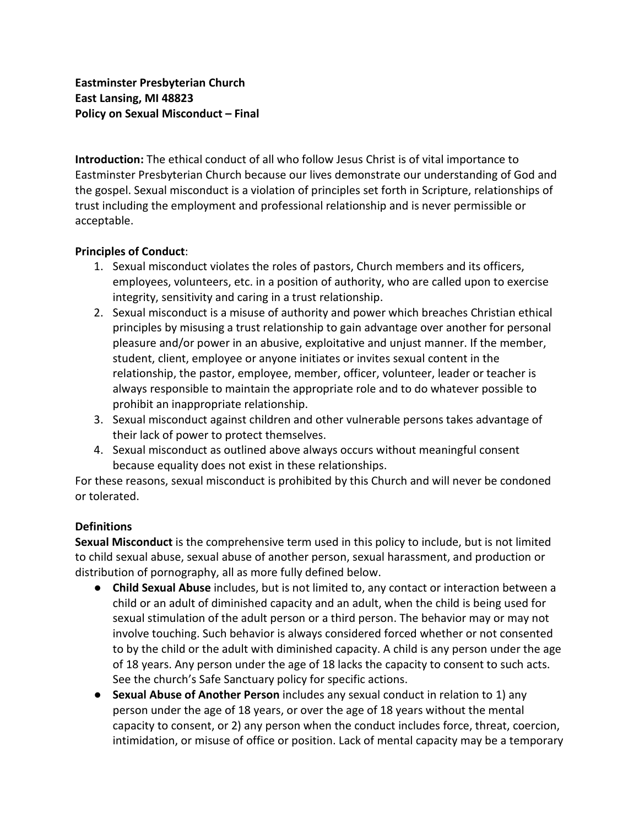**Introduction:** The ethical conduct of all who follow Jesus Christ is of vital importance to Eastminster Presbyterian Church because our lives demonstrate our understanding of God and the gospel. Sexual misconduct is a violation of principles set forth in Scripture, relationships of trust including the employment and professional relationship and is never permissible or acceptable.

## **Principles of Conduct**:

- 1. Sexual misconduct violates the roles of pastors, Church members and its officers, employees, volunteers, etc. in a position of authority, who are called upon to exercise integrity, sensitivity and caring in a trust relationship.
- 2. Sexual misconduct is a misuse of authority and power which breaches Christian ethical principles by misusing a trust relationship to gain advantage over another for personal pleasure and/or power in an abusive, exploitative and unjust manner. If the member, student, client, employee or anyone initiates or invites sexual content in the relationship, the pastor, employee, member, officer, volunteer, leader or teacher is always responsible to maintain the appropriate role and to do whatever possible to prohibit an inappropriate relationship.
- 3. Sexual misconduct against children and other vulnerable persons takes advantage of their lack of power to protect themselves.
- 4. Sexual misconduct as outlined above always occurs without meaningful consent because equality does not exist in these relationships.

For these reasons, sexual misconduct is prohibited by this Church and will never be condoned or tolerated.

## **Definitions**

**Sexual Misconduct** is the comprehensive term used in this policy to include, but is not limited to child sexual abuse, sexual abuse of another person, sexual harassment, and production or distribution of pornography, all as more fully defined below.

- **Child Sexual Abuse** includes, but is not limited to, any contact or interaction between a child or an adult of diminished capacity and an adult, when the child is being used for sexual stimulation of the adult person or a third person. The behavior may or may not involve touching. Such behavior is always considered forced whether or not consented to by the child or the adult with diminished capacity. A child is any person under the age of 18 years. Any person under the age of 18 lacks the capacity to consent to such acts. See the church's Safe Sanctuary policy for specific actions.
- **Sexual Abuse of Another Person** includes any sexual conduct in relation to 1) any person under the age of 18 years, or over the age of 18 years without the mental capacity to consent, or 2) any person when the conduct includes force, threat, coercion, intimidation, or misuse of office or position. Lack of mental capacity may be a temporary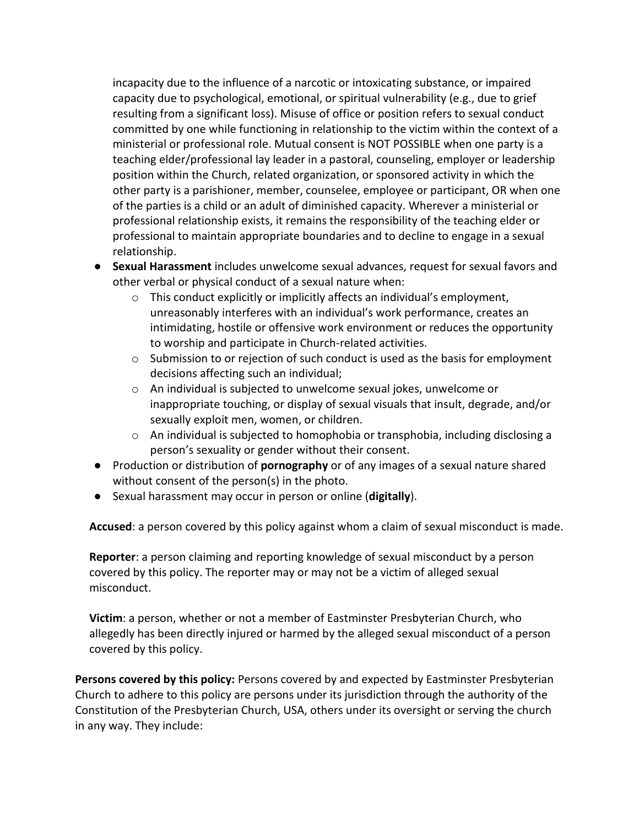incapacity due to the influence of a narcotic or intoxicating substance, or impaired capacity due to psychological, emotional, or spiritual vulnerability (e.g., due to grief resulting from a significant loss). Misuse of office or position refers to sexual conduct committed by one while functioning in relationship to the victim within the context of a ministerial or professional role. Mutual consent is NOT POSSIBLE when one party is a teaching elder/professional lay leader in a pastoral, counseling, employer or leadership position within the Church, related organization, or sponsored activity in which the other party is a parishioner, member, counselee, employee or participant, OR when one of the parties is a child or an adult of diminished capacity. Wherever a ministerial or professional relationship exists, it remains the responsibility of the teaching elder or professional to maintain appropriate boundaries and to decline to engage in a sexual relationship.

- **Sexual Harassment** includes unwelcome sexual advances, request for sexual favors and other verbal or physical conduct of a sexual nature when:
	- $\circ$  This conduct explicitly or implicitly affects an individual's employment, unreasonably interferes with an individual's work performance, creates an intimidating, hostile or offensive work environment or reduces the opportunity to worship and participate in Church-related activities.
	- $\circ$  Submission to or rejection of such conduct is used as the basis for employment decisions affecting such an individual;
	- o An individual is subjected to unwelcome sexual jokes, unwelcome or inappropriate touching, or display of sexual visuals that insult, degrade, and/or sexually exploit men, women, or children.
	- $\circ$  An individual is subjected to homophobia or transphobia, including disclosing a person's sexuality or gender without their consent.
- Production or distribution of **pornography** or of any images of a sexual nature shared without consent of the person(s) in the photo.
- Sexual harassment may occur in person or online (**digitally**).

**Accused**: a person covered by this policy against whom a claim of sexual misconduct is made.

**Reporter**: a person claiming and reporting knowledge of sexual misconduct by a person covered by this policy. The reporter may or may not be a victim of alleged sexual misconduct.

**Victim**: a person, whether or not a member of Eastminster Presbyterian Church, who allegedly has been directly injured or harmed by the alleged sexual misconduct of a person covered by this policy.

**Persons covered by this policy:** Persons covered by and expected by Eastminster Presbyterian Church to adhere to this policy are persons under its jurisdiction through the authority of the Constitution of the Presbyterian Church, USA, others under its oversight or serving the church in any way. They include: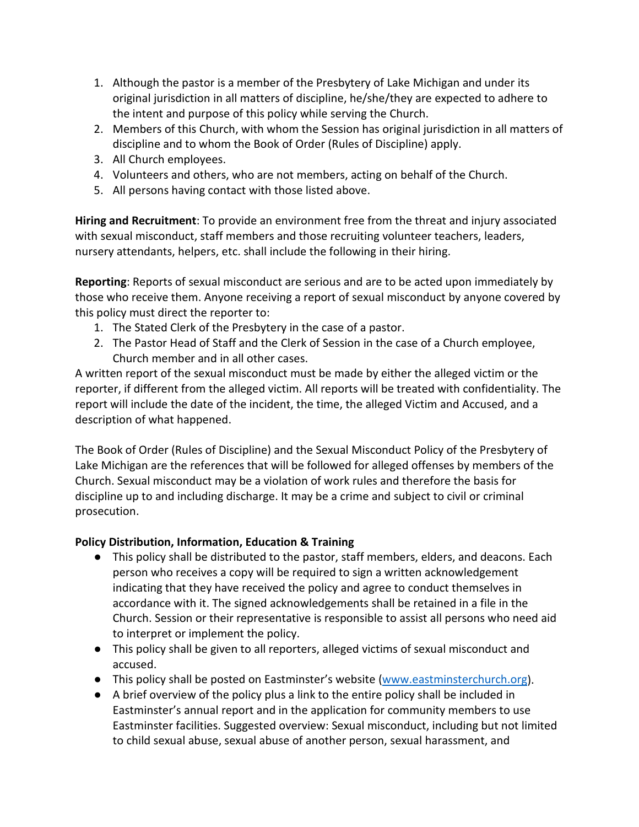- 1. Although the pastor is a member of the Presbytery of Lake Michigan and under its original jurisdiction in all matters of discipline, he/she/they are expected to adhere to the intent and purpose of this policy while serving the Church.
- 2. Members of this Church, with whom the Session has original jurisdiction in all matters of discipline and to whom the Book of Order (Rules of Discipline) apply.
- 3. All Church employees.
- 4. Volunteers and others, who are not members, acting on behalf of the Church.
- 5. All persons having contact with those listed above.

**Hiring and Recruitment**: To provide an environment free from the threat and injury associated with sexual misconduct, staff members and those recruiting volunteer teachers, leaders, nursery attendants, helpers, etc. shall include the following in their hiring.

**Reporting**: Reports of sexual misconduct are serious and are to be acted upon immediately by those who receive them. Anyone receiving a report of sexual misconduct by anyone covered by this policy must direct the reporter to:

- 1. The Stated Clerk of the Presbytery in the case of a pastor.
- 2. The Pastor Head of Staff and the Clerk of Session in the case of a Church employee, Church member and in all other cases.

A written report of the sexual misconduct must be made by either the alleged victim or the reporter, if different from the alleged victim. All reports will be treated with confidentiality. The report will include the date of the incident, the time, the alleged Victim and Accused, and a description of what happened.

The Book of Order (Rules of Discipline) and the Sexual Misconduct Policy of the Presbytery of Lake Michigan are the references that will be followed for alleged offenses by members of the Church. Sexual misconduct may be a violation of work rules and therefore the basis for discipline up to and including discharge. It may be a crime and subject to civil or criminal prosecution.

## **Policy Distribution, Information, Education & Training**

- This policy shall be distributed to the pastor, staff members, elders, and deacons. Each person who receives a copy will be required to sign a written acknowledgement indicating that they have received the policy and agree to conduct themselves in accordance with it. The signed acknowledgements shall be retained in a file in the Church. Session or their representative is responsible to assist all persons who need aid to interpret or implement the policy.
- This policy shall be given to all reporters, alleged victims of sexual misconduct and accused.
- This policy shall be posted on Eastminster's website [\(www.eastminsterchurch.org\)](http://www.eastminsterchurch.org/).
- A brief overview of the policy plus a link to the entire policy shall be included in Eastminster's annual report and in the application for community members to use Eastminster facilities. Suggested overview: Sexual misconduct, including but not limited to child sexual abuse, sexual abuse of another person, sexual harassment, and